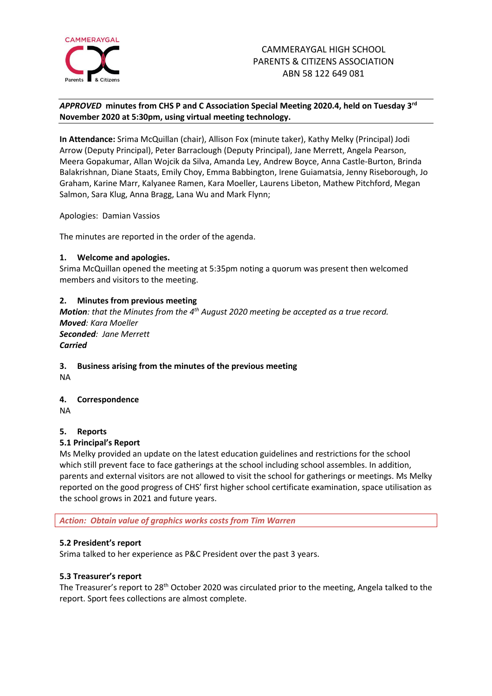

# *APPROVED* **minutes from CHS P and C Association Special Meeting 2020.4, held on Tuesday 3 rd November 2020 at 5:30pm, using virtual meeting technology.**

**In Attendance:** Srima McQuillan (chair), Allison Fox (minute taker), Kathy Melky (Principal) Jodi Arrow (Deputy Principal), Peter Barraclough (Deputy Principal), Jane Merrett, Angela Pearson, Meera Gopakumar, Allan Wojcik da Silva, Amanda Ley, Andrew Boyce, Anna Castle-Burton, Brinda Balakrishnan, Diane Staats, Emily Choy, Emma Babbington, Irene Guiamatsia, Jenny Riseborough, Jo Graham, Karine Marr, Kalyanee Ramen, Kara Moeller, Laurens Libeton, Mathew Pitchford, Megan Salmon, Sara Klug, Anna Bragg, Lana Wu and Mark Flynn;

Apologies: Damian Vassios

The minutes are reported in the order of the agenda.

## **1. Welcome and apologies.**

Srima McQuillan opened the meeting at 5:35pm noting a quorum was present then welcomed members and visitors to the meeting.

# **2. Minutes from previous meeting**

*Motion: that the Minutes from the 4 th August 2020 meeting be accepted as a true record. Moved: Kara Moeller Seconded: Jane Merrett Carried*

# **3. Business arising from the minutes of the previous meeting**

NA

# **4. Correspondence**

NA

#### **5. Reports**

#### **5.1 Principal's Report**

Ms Melky provided an update on the latest education guidelines and restrictions for the school which still prevent face to face gatherings at the school including school assembles. In addition, parents and external visitors are not allowed to visit the school for gatherings or meetings. Ms Melky reported on the good progress of CHS' first higher school certificate examination, space utilisation as the school grows in 2021 and future years.

*Action: Obtain value of graphics works costs from Tim Warren*

#### **5.2 President's report**

Srima talked to her experience as P&C President over the past 3 years.

#### **5.3 Treasurer's report**

The Treasurer's report to 28<sup>th</sup> October 2020 was circulated prior to the meeting, Angela talked to the report. Sport fees collections are almost complete.